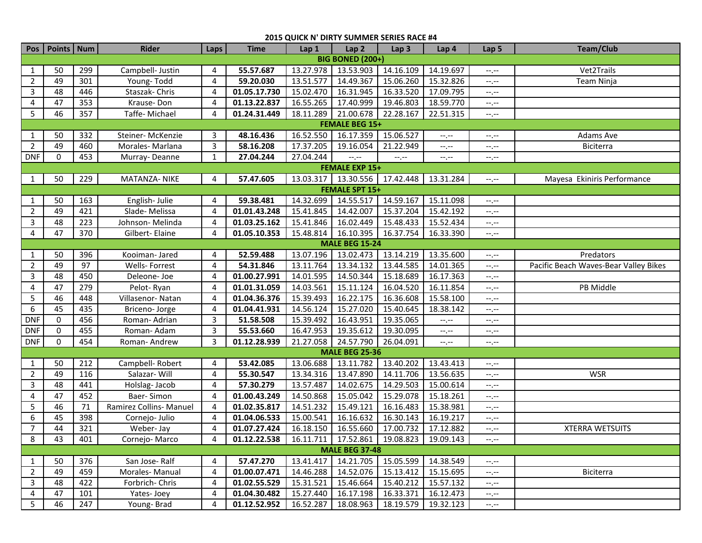| 2015 QUICK N' DIRTY SUMMER SERIES RACE #4 |                       |     |                         |              |              |           |                                               |                             |             |                  |                                       |  |
|-------------------------------------------|-----------------------|-----|-------------------------|--------------|--------------|-----------|-----------------------------------------------|-----------------------------|-------------|------------------|---------------------------------------|--|
|                                           | Pos   Points   Num    |     | <b>Rider</b>            | Laps         | <b>Time</b>  | Lap 1     | Lap <sub>2</sub>                              | Lap <sub>3</sub>            | Lap 4       | Lap <sub>5</sub> | <b>Team/Club</b>                      |  |
| <b>BIG BONED (200+)</b>                   |                       |     |                         |              |              |           |                                               |                             |             |                  |                                       |  |
| 1                                         | 50                    | 299 | Campbell- Justin        | 4            | 55.57.687    | 13.27.978 | 13.53.903                                     | 14.16.109                   | 14.19.697   | --,--            | Vet2Trails                            |  |
| $\overline{2}$                            | 49                    | 301 | Young-Todd              | 4            | 59.20.030    | 13.51.577 | 14.49.367                                     | 15.06.260                   | 15.32.826   | --.--            | Team Ninja                            |  |
| 3                                         | 48                    | 446 | Staszak-Chris           | 4            | 01.05.17.730 | 15.02.470 | 16.31.945                                     | 16.33.520                   | 17.09.795   | --.--            |                                       |  |
| 4                                         | 47                    | 353 | Krause-Don              | 4            | 01.13.22.837 | 16.55.265 | 17.40.999                                     | 19.46.803                   | 18.59.770   | --.--            |                                       |  |
| 5                                         | 46                    | 357 | Taffe-Michael           | 4            | 01.24.31.449 | 18.11.289 | 21.00.678                                     | 22.28.167                   | 22.51.315   | $-1, -1$         |                                       |  |
| <b>FEMALE BEG 15+</b>                     |                       |     |                         |              |              |           |                                               |                             |             |                  |                                       |  |
| 1                                         | 50                    | 332 | Steiner-McKenzie        | 3            | 48.16.436    | 16.52.550 | 16.17.359                                     | 15.06.527                   | $-1$ . $-1$ | $-1, -1$         | Adams Ave                             |  |
| $\overline{2}$                            | 49                    | 460 | Morales-Marlana         | 3            | 58.16.208    | 17.37.205 | 19.16.054                                     | 21.22.949                   | $-1, -1$    | $-1, -1$         | Biciterra                             |  |
| <b>DNF</b>                                | 0                     | 453 | Murray-Deanne           | $\mathbf{1}$ | 27.04.244    | 27.04.244 | $-1$                                          | $\leftarrow$ , $\leftarrow$ | $-1$        | $-1, -1$         |                                       |  |
|                                           |                       |     |                         |              |              |           | <b>FEMALE EXP 15+</b>                         |                             |             |                  |                                       |  |
| 1                                         | 50                    | 229 | MATANZA- NIKE           | 4            | 57.47.605    |           | 13.03.317   13.30.556                         | 17.42.448                   | 13.31.284   | $-1$             | Mayesa Ekiniris Performance           |  |
|                                           |                       |     |                         |              |              |           | <b>FEMALE SPT 15+</b>                         |                             |             |                  |                                       |  |
| 1                                         | 50                    | 163 | English-Julie           | 4            | 59.38.481    | 14.32.699 | 14.55.517                                     | 14.59.167                   | 15.11.098   | --.--            |                                       |  |
| $\overline{2}$                            | 49                    | 421 | Slade-Melissa           | 4            | 01.01.43.248 | 15.41.845 | 14.42.007                                     | 15.37.204                   | 15.42.192   | --.--            |                                       |  |
| 3                                         | 48                    | 223 | Johnson- Melinda        | 4            | 01.03.25.162 | 15.41.846 | 16.02.449                                     | 15.48.433                   | 15.52.434   | $-1, -1$         |                                       |  |
| 4                                         | 47                    | 370 | Gilbert- Elaine         | 4            | 01.05.10.353 | 15.48.814 | 16.10.395                                     | 16.37.754                   | 16.33.390   | $-1, -1$         |                                       |  |
| <b>MALE BEG 15-24</b>                     |                       |     |                         |              |              |           |                                               |                             |             |                  |                                       |  |
| $\mathbf{1}$                              | 50                    | 396 | Kooiman- Jared          | 4            | 52.59.488    | 13.07.196 | 13.02.473                                     | 13.14.219                   | 13.35.600   | $-1, -1$         | Predators                             |  |
| $\overline{2}$                            | 49                    | 97  | Wells-Forrest           | 4            | 54.31.846    | 13.11.764 | 13.34.132                                     | 13.44.585                   | 14.01.365   | $-1, -1$         | Pacific Beach Waves-Bear Valley Bikes |  |
| 3                                         | 48                    | 450 | Deleone-Joe             | 4            | 01.00.27.991 | 14.01.595 | 14.50.344                                     | 15.18.689                   | 16.17.363   | $-1, -1$         |                                       |  |
| 4                                         | 47                    | 279 | Pelot-Ryan              | 4            | 01.01.31.059 | 14.03.561 | 15.11.124                                     | 16.04.520                   | 16.11.854   | $-1, -1$         | PB Middle                             |  |
| 5                                         | 46                    | 448 | Villasenor-Natan        | 4            | 01.04.36.376 | 15.39.493 | 16.22.175                                     | 16.36.608                   | 15.58.100   | --.--            |                                       |  |
| 6                                         | 45                    | 435 | Briceno-Jorge           | 4            | 01.04.41.931 | 14.56.124 | 15.27.020                                     | 15.40.645                   | 18.38.142   | $-1, -1$         |                                       |  |
| <b>DNF</b>                                | $\mathbf 0$           | 456 | Roman-Adrian            | 3            | 51.58.508    | 15.39.492 | 16.43.951                                     | 19.35.065                   | $-1$ . $-1$ | --.--            |                                       |  |
| <b>DNF</b>                                | 0                     | 455 | Roman-Adam              | 3            | 55.53.660    | 16.47.953 | 19.35.612                                     | 19.30.095                   | --.--       | --.--            |                                       |  |
| <b>DNF</b>                                | 0                     | 454 | Roman-Andrew            | 3            | 01.12.28.939 | 21.27.058 | 24.57.790                                     | 26.04.091                   | $-1$ . $-1$ | $-1, -1$         |                                       |  |
|                                           |                       |     |                         |              |              |           | <b>MALE BEG 25-36</b>                         |                             |             |                  |                                       |  |
| $\mathbf{1}$                              | 50                    | 212 | Campbell-Robert         | 4            | 53.42.085    | 13.06.688 | 13.11.782                                     | 13.40.202                   | 13.43.413   | --.--            |                                       |  |
| $\overline{2}$                            | 49                    | 116 | Salazar-Will            | 4            | 55.30.547    | 13.34.316 | 13.47.890                                     | 14.11.706                   | 13.56.635   | $-1, -1$         | <b>WSR</b>                            |  |
| $\mathbf{3}$                              | 48                    | 441 | Holslag-Jacob           | 4            | 57.30.279    | 13.57.487 | 14.02.675                                     | 14.29.503                   | 15.00.614   | $-1, -1$         |                                       |  |
| 4                                         | 47                    | 452 | Baer-Simon              | 4            | 01.00.43.249 | 14.50.868 | 15.05.042                                     | 15.29.078                   | 15.18.261   | $-1, -1$         |                                       |  |
| 5                                         | 46                    | 71  | Ramirez Collins- Manuel | 4            | 01.02.35.817 | 14.51.232 | 15.49.121                                     | 16.16.483                   | 15.38.981   | $-1, -1$         |                                       |  |
| 6                                         | 45                    | 398 | Cornejo- Julio          | 4            | 01.04.06.533 | 15.00.541 | 16.16.632                                     | 16.30.143                   | 16.19.217   | $-1, -1$         |                                       |  |
| $\overline{7}$                            | 44                    | 321 | Weber-Jay               | 4            | 01.07.27.424 |           | 16.18.150  16.55.660                          | 17.00.732 17.12.882         |             | $-1 - 1 - 1 = 0$ | <b>XTERRA WETSUITS</b>                |  |
| 8                                         | 43                    | 401 | Cornejo-Marco           | 4            | 01.12.22.538 |           | 16.11.711   17.52.861   19.08.823   19.09.143 |                             |             | $-1, -1$         |                                       |  |
|                                           | <b>MALE BEG 37-48</b> |     |                         |              |              |           |                                               |                             |             |                  |                                       |  |
| 1                                         | 50                    | 376 | San Jose-Ralf           | 4            | 57.47.270    |           | 13.41.417   14.21.705                         | 15.05.599 14.38.549         |             | --.--            |                                       |  |
| $\overline{2}$                            | 49                    | 459 | Morales-Manual          | 4            | 01.00.07.471 | 14.46.288 | 14.52.076                                     | 15.13.412                   | 15.15.695   | --.--            | Biciterra                             |  |
| $\mathbf{3}$                              | 48                    | 422 | Forbrich-Chris          | 4            | 01.02.55.529 | 15.31.521 | 15.46.664                                     | 15.40.212                   | 15.57.132   | $-1, -1$         |                                       |  |
| 4                                         | 47                    | 101 | Yates-Joey              | 4            | 01.04.30.482 | 15.27.440 | 16.17.198                                     | 16.33.371                   | 16.12.473   | --.--            |                                       |  |
| 5                                         | 46                    | 247 | Young-Brad              | 4            | 01.12.52.952 | 16.52.287 | 18.08.963                                     | 18.19.579 19.32.123         |             | $-1, -1$         |                                       |  |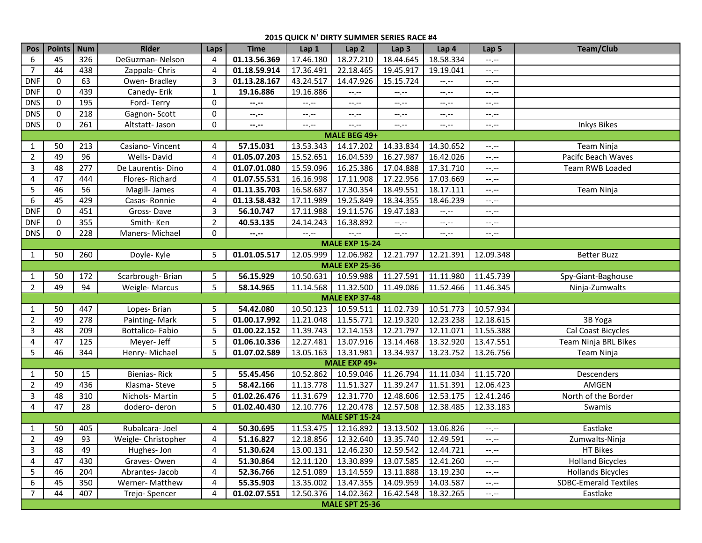## **2015 QUICK N' DIRTY SUMMER SERIES RACE #4**

| Pos                   | Points   Num          |     | <b>Rider</b>        | Laps           | <b>Time</b>  | Lap 1       | Lap <sub>2</sub>      | Lap <sub>3</sub>                        | Lap 4     | Lap <sub>5</sub> | <b>Team/Club</b>             |
|-----------------------|-----------------------|-----|---------------------|----------------|--------------|-------------|-----------------------|-----------------------------------------|-----------|------------------|------------------------------|
| 6                     | 45                    | 326 | DeGuzman-Nelson     | 4              | 01.13.56.369 | 17.46.180   | 18.27.210             | 18.44.645                               | 18.58.334 | $-1, -1$         |                              |
| $\overline{7}$        | 44                    | 438 | Zappala-Chris       | 4              | 01.18.59.914 | 17.36.491   | 22.18.465             | 19.45.917                               | 19.19.041 | $-1$ , $-1$      |                              |
| <b>DNF</b>            | 0                     | 63  | Owen-Bradley        | 3              | 01.13.28.167 | 43.24.517   | 14.47.926             | 15.15.724                               | $-1, -1$  | $-1$             |                              |
| <b>DNF</b>            | 0                     | 439 | Canedy-Erik         | $\mathbf{1}$   | 19.16.886    | 19.16.886   | --.--                 | $-1, -1$                                | --.--     | $-1, -1$         |                              |
| <b>DNS</b>            | 0                     | 195 | Ford-Terry          | 0              | --.--        | $-1$        | $-1, -1$              | $-1$ .                                  | --.--     | --.--            |                              |
| <b>DNS</b>            | 0                     | 218 | Gagnon-Scott        | 0              | --.--        | $-1, -1$    | --.--                 | $-1, -1$                                | --.--     | --.--            |                              |
| <b>DNS</b>            | $\mathbf 0$           | 261 | Altstatt-Jason      | 0              | --.--        | $-1$ . $-1$ | --.--                 | $-1, -1$                                | --.--     | $-1, -1$         | <b>Inkys Bikes</b>           |
| MALE BEG 49+          |                       |     |                     |                |              |             |                       |                                         |           |                  |                              |
| 1                     | 50                    | 213 | Casiano-Vincent     | 4              | 57.15.031    | 13.53.343   | 14.17.202             | 14.33.834                               | 14.30.652 | $-1, -1$         | Team Ninja                   |
| 2                     | 49                    | 96  | Wells-David         | $\overline{4}$ | 01.05.07.203 | 15.52.651   | 16.04.539             | 16.27.987                               | 16.42.026 | --.--            | Pacifc Beach Waves           |
| 3                     | 48                    | 277 | De Laurentis-Dino   | 4              | 01.07.01.080 | 15.59.096   | 16.25.386             | 17.04.888                               | 17.31.710 | $-1, -1$         | Team RWB Loaded              |
| 4                     | 47                    | 444 | Flores-Richard      | 4              | 01.07.55.531 | 16.16.998   | 17.11.908             | 17.22.956                               | 17.03.669 | $-1$             |                              |
| 5                     | 46                    | 56  | Magill- James       | 4              | 01.11.35.703 | 16.58.687   | 17.30.354             | 18.49.551                               | 18.17.111 | $-1$             | Team Ninja                   |
| $\boldsymbol{6}$      | 45                    | 429 | Casas-Ronnie        | 4              | 01.13.58.432 | 17.11.989   | 19.25.849             | 18.34.355                               | 18.46.239 | --.--            |                              |
| <b>DNF</b>            | $\mathbf 0$           | 451 | Gross-Dave          | 3              | 56.10.747    | 17.11.988   | 19.11.576             | 19.47.183                               | $-1, -1$  | --.--            |                              |
| <b>DNF</b>            | 0                     | 355 | Smith-Ken           | $\overline{2}$ | 40.53.135    | 24.14.243   | 16.38.892             | $-1, -1$                                | --.--     | --.--            |                              |
| <b>DNS</b>            | $\mathbf 0$           | 228 | Maners-Michael      | 0              | --.--        | $-1$ . $-1$ | $-1, -1$              | $-1, -1$                                | $-1, -1$  | --.--            |                              |
|                       | <b>MALE EXP 15-24</b> |     |                     |                |              |             |                       |                                         |           |                  |                              |
| 1                     | 50                    | 260 | Doyle-Kyle          | 5              | 01.01.05.517 | 12.05.999   | 12.06.982             | 12.21.797                               | 12.21.391 | 12.09.348        | <b>Better Buzz</b>           |
|                       |                       |     |                     |                |              |             | <b>MALE EXP 25-36</b> |                                         |           |                  |                              |
| 1                     | 50                    | 172 | Scarbrough-Brian    | 5              | 56.15.929    | 10.50.631   | 10.59.988             | 11.27.591                               | 11.11.980 | 11.45.739        | Spy-Giant-Baghouse           |
| $\overline{2}$        | 49                    | 94  | Weigle-Marcus       | 5              | 58.14.965    | 11.14.568   | 11.32.500             | 11.49.086                               | 11.52.466 | 11.46.345        | Ninja-Zumwalts               |
|                       |                       |     |                     |                |              |             | <b>MALE EXP 37-48</b> |                                         |           |                  |                              |
| 1                     | 50                    | 447 | Lopes-Brian         | 5              | 54.42.080    | 10.50.123   | 10.59.511             | 11.02.739                               | 10.51.773 | 10.57.934        |                              |
| 2                     | 49                    | 278 | Painting-Mark       | 5              | 01.00.17.992 | 11.21.048   | 11.55.771             | 12.19.320                               | 12.23.238 | 12.18.615        | 3B Yoga                      |
| 3                     | 48                    | 209 | Bottalico-Fabio     | 5              | 01.00.22.152 | 11.39.743   | 12.14.153             | 12.21.797                               | 12.11.071 | 11.55.388        | Cal Coast Bicycles           |
| 4                     | 47                    | 125 | Meyer- Jeff         | 5              | 01.06.10.336 | 12.27.481   | 13.07.916             | 13.14.468                               | 13.32.920 | 13.47.551        | Team Ninja BRL Bikes         |
| 5                     | 46                    | 344 | Henry-Michael       | 5              | 01.07.02.589 | 13.05.163   | 13.31.981             | 13.34.937                               | 13.23.752 | 13.26.756        | Team Ninja                   |
|                       |                       |     |                     |                |              |             | MALE EXP 49+          |                                         |           |                  |                              |
| 1                     | 50                    | 15  | Bienias-Rick        | 5              | 55.45.456    | 10.52.862   | 10.59.046             | 11.26.794                               | 11.11.034 | 11.15.720        | Descenders                   |
| 2                     | 49                    | 436 | Klasma-Steve        | 5              | 58.42.166    | 11.13.778   | 11.51.327             | 11.39.247                               | 11.51.391 | 12.06.423        | AMGEN                        |
| 3                     | 48                    | 310 | Nichols-Martin      | 5              | 01.02.26.476 | 11.31.679   | 12.31.770             | 12.48.606                               | 12.53.175 | 12.41.246        | North of the Border          |
| 4                     | 47                    | 28  | dodero-deron        | 5              | 01.02.40.430 | 12.10.776   | 12.20.478             | 12.57.508                               | 12.38.485 | 12.33.183        | Swamis                       |
| <b>MALE SPT 15-24</b> |                       |     |                     |                |              |             |                       |                                         |           |                  |                              |
| 1                     | 50                    | 405 | Rubalcara-Joel      | 4              | 50.30.695    | 11.53.475   | 12.16.892 13.13.502   |                                         | 13.06.826 | $-1, -1$         | Eastlake                     |
| $\overline{2}$        | 49                    | 93  | Weigle- Christopher | $\overline{4}$ | 51.16.827    |             |                       | 12.18.856 12.32.640 13.35.740 12.49.591 |           | --.--            | Zumwalts-Ninja               |
| 3                     | 48                    | 49  | Hughes-Jon          | 4              | 51.30.624    | 13.00.131   | 12.46.230             | 12.59.542                               | 12.44.721 | --.--            | HT Bikes                     |
| 4                     | 47                    | 430 | Graves-Owen         | 4              | 51.30.864    | 12.11.120   | 13.30.899             | 13.07.585                               | 12.41.260 | $-1, -1$         | <b>Holland Bicycles</b>      |
| 5                     | 46                    | 204 | Abrantes-Jacob      | 4              | 52.36.766    | 12.51.089   | 13.14.559             | 13.11.888                               | 13.19.230 | $-1, -1$         | <b>Hollands Bicycles</b>     |
| 6                     | 45                    | 350 | Werner-Matthew      | 4              | 55.35.903    | 13.35.002   | 13.47.355             | 14.09.959                               | 14.03.587 | --.--            | <b>SDBC-Emerald Textiles</b> |
| 7                     | 44                    | 407 | Trejo-Spencer       | 4              | 01.02.07.551 | 12.50.376   | 14.02.362             | 16.42.548                               | 18.32.265 | $-1, -1$         | Eastlake                     |
|                       | <b>MALE SPT 25-36</b> |     |                     |                |              |             |                       |                                         |           |                  |                              |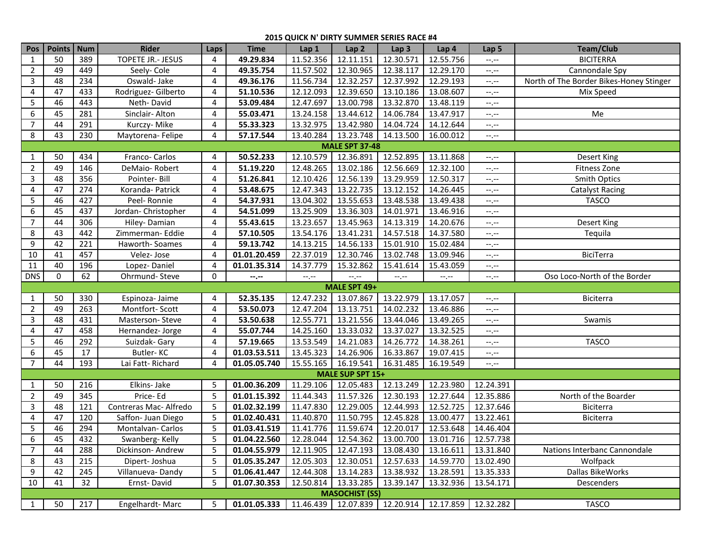## **2015 QUICK N' DIRTY SUMMER SERIES RACE #4**

| Pos                   | Points      | <b>Num</b> | <b>Rider</b>          | Laps           | <b>Time</b>                                                              | Lap 1     | Lap <sub>2</sub>      | Lap <sub>3</sub> | Lap 4               | Lap 5       | Team/Club                               |
|-----------------------|-------------|------------|-----------------------|----------------|--------------------------------------------------------------------------|-----------|-----------------------|------------------|---------------------|-------------|-----------------------------------------|
| $\mathbf{1}$          | 50          | 389        | TOPETE JR.- JESUS     | 4              | 49.29.834                                                                | 11.52.356 | 12.11.151             | 12.30.571        | 12.55.756           | $-1$ , $-1$ | <b>BICITERRA</b>                        |
| 2                     | 49          | 449        | Seely-Cole            | 4              | 49.35.754                                                                | 11.57.502 | 12.30.965             | 12.38.117        | 12.29.170           | $-1$        | Cannondale Spy                          |
| 3                     | 48          | 234        | Oswald-Jake           | 4              | 49.36.176                                                                | 11.56.734 | 12.32.257             | 12.37.992        | 12.29.193           | $-1$        | North of The Border Bikes-Honey Stinger |
| $\overline{4}$        | 47          | 433        | Rodriguez- Gilberto   | 4              | 51.10.536                                                                | 12.12.093 | 12.39.650             | 13.10.186        | 13.08.607           | $-1$ , $-1$ | Mix Speed                               |
| 5                     | 46          | 443        | Neth-David            | 4              | 53.09.484                                                                | 12.47.697 | 13.00.798             | 13.32.870        | 13.48.119           | $-1, -1$    |                                         |
| 6                     | 45          | 281        | Sinclair-Alton        | 4              | 55.03.471                                                                | 13.24.158 | 13.44.612             | 14.06.784        | 13.47.917           | $-1, -1$    | Me                                      |
| $\overline{7}$        | 44          | 291        | Kurczy-Mike           | 4              | 55.33.323                                                                | 13.32.975 | 13.42.980             | 14.04.724        | 14.12.644           | $-1, -1$    |                                         |
| 8                     | 43          | 230        | Maytorena-Felipe      | 4              | 57.17.544                                                                | 13.40.284 | 13.23.748             | 14.13.500        | 16.00.012           | $-1, -1$    |                                         |
| <b>MALE SPT 37-48</b> |             |            |                       |                |                                                                          |           |                       |                  |                     |             |                                         |
| 1                     | 50          | 434        | Franco-Carlos         | 4              | 50.52.233                                                                | 12.10.579 | 12.36.891             | 12.52.895        | 13.11.868           | $-1, -1$    | Desert King                             |
| $\overline{2}$        | 49          | 146        | DeMaio-Robert         | 4              | 51.19.220                                                                | 12.48.265 | 13.02.186             | 12.56.669        | 12.32.100           | $-1, -1$    | Fitness Zone                            |
| 3                     | 48          | 356        | Pointer-Bill          | 4              | 51.26.841                                                                | 12.10.426 | 12.56.139             | 13.29.959        | 12.50.317           | $-1, -1$    | <b>Smith Optics</b>                     |
| 4                     | 47          | 274        | Koranda-Patrick       | 4              | 53.48.675                                                                | 12.47.343 | 13.22.735             | 13.12.152        | 14.26.445           | $-1, -1$    | <b>Catalyst Racing</b>                  |
| 5                     | 46          | 427        | Peel-Ronnie           | 4              | 54.37.931                                                                | 13.04.302 | 13.55.653             | 13.48.538        | 13.49.438           | $-1, -1$    | <b>TASCO</b>                            |
| 6                     | 45          | 437        | Jordan-Christopher    | 4              | 54.51.099                                                                | 13.25.909 | 13.36.303             | 14.01.971        | 13.46.916           | $-1$ , $-1$ |                                         |
| $\overline{7}$        | 44          | 306        | Hiley-Damian          | 4              | 55.43.615                                                                | 13.23.657 | 13.45.963             | 14.13.319        | 14.20.676           | $-1$ , $-1$ | Desert King                             |
| 8                     | 43          | 442        | Zimmerman-Eddie       | 4              | 57.10.505                                                                | 13.54.176 | 13.41.231             | 14.57.518        | 14.37.580           | $-1, -1$    | Tequila                                 |
| 9                     | 42          | 221        | Haworth-Soames        | 4              | 59.13.742                                                                | 14.13.215 | 14.56.133             | 15.01.910        | 15.02.484           | --.--       |                                         |
| 10                    | 41          | 457        | Velez-Jose            | 4              | 01.01.20.459                                                             | 22.37.019 | 12.30.746             | 13.02.748        | 13.09.946           | --.--       | BiciTerra                               |
| 11                    | 40          | 196        | Lopez-Daniel          | 4              | 01.01.35.314                                                             | 14.37.779 | 15.32.862             | 15.41.614        | 15.43.059           | --.--       |                                         |
| <b>DNS</b>            | $\mathbf 0$ | 62         | Ohrmund-Steve         | 0              | $- - - - -$                                                              | --.--     | --.--                 | $-1, -1$         | $-1, -1$            | --.--       | Oso Loco-North of the Border            |
|                       |             |            |                       |                |                                                                          |           | MALE SPT 49+          |                  |                     |             |                                         |
| $\mathbf{1}$          | 50          | 330        | Espinoza- Jaime       | 4              | 52.35.135                                                                | 12.47.232 | 13.07.867             | 13.22.979        | 13.17.057           | $-1, -1$    | Biciterra                               |
| $\overline{2}$        | 49          | 263        | Montfort-Scott        | 4              | 53.50.073                                                                | 12.47.204 | 13.13.751             | 14.02.232        | 13.46.886           | $-1, -1$    |                                         |
| 3                     | 48          | 431        | Masterson-Steve       | 4              | 53.50.638                                                                | 12.55.771 | 13.21.556             | 13.44.046        | 13.49.265           | $-1, -1$    | Swamis                                  |
| 4                     | 47          | 458        | Hernandez-Jorge       | 4              | 55.07.744                                                                | 14.25.160 | 13.33.032             | 13.37.027        | 13.32.525           | --.--       |                                         |
| 5                     | 46          | 292        | Suizdak- Gary         | 4              | 57.19.665                                                                | 13.53.549 | 14.21.083             | 14.26.772        | 14.38.261           | $-1$ , $-1$ | <b>TASCO</b>                            |
| 6                     | 45          | 17         | Butler-KC             | 4              | 01.03.53.511                                                             | 13.45.323 | 14.26.906             | 16.33.867        | 19.07.415           | $-1$        |                                         |
| $\overline{7}$        | 44          | 193        | Lai Fatt-Richard      | 4              | 01.05.05.740                                                             | 15.55.165 | 16.19.541             | 16.31.485        | 16.19.549           | $-1$ .      |                                         |
|                       |             |            |                       |                |                                                                          |           | MALE SUP SPT 15+      |                  |                     |             |                                         |
| 1                     | 50          | 216        | Elkins- Jake          | 5              | 01.00.36.209                                                             | 11.29.106 | 12.05.483             | 12.13.249        | 12.23.980           | 12.24.391   |                                         |
| 2                     | 49          | 345        | Price-Ed              | 5              | 01.01.15.392                                                             | 11.44.343 | 11.57.326             | 12.30.193        | 12.27.644           | 12.35.886   | North of the Boarder                    |
| 3                     | 48          | 121        | Contreras Mac-Alfredo | 5              | 01.02.32.199                                                             | 11.47.830 | 12.29.005             | 12.44.993        | 12.52.725           | 12.37.646   | Biciterra                               |
| 4                     | 47          | 120        | Saffon- Juan Diego    | 5              | 01.02.40.431                                                             | 11.40.870 | 11.50.795             | 12.45.828        | 13.00.477           | 13.22.461   | Biciterra                               |
| 5                     | 46          | 294        | Montalvan-Carlos      | 5              | 01.03.41.519                                                             | 11.41.776 | 11.59.674             | 12.20.017        | 12.53.648 14.46.404 |             |                                         |
| 6                     | 45          | 432        | Swanberg-Kelly        | $\overline{5}$ | 01.04.22.560   12.28.044   12.54.362   13.00.700   13.01.716   12.57.738 |           |                       |                  |                     |             |                                         |
| 7                     | 44          | 288        | Dickinson-Andrew      | 5              | 01.04.55.979                                                             | 12.11.905 | 12.47.193             | 13.08.430        | 13.16.611           | 13.31.840   | Nations Interbanc Cannondale            |
| 8                     | 43          | 215        | Dipert-Joshua         | 5              | 01.05.35.247                                                             | 12.05.303 | 12.30.051             | 12.57.633        | 14.59.770           | 13.02.490   | Wolfpack                                |
| 9                     | 42          | 245        | Villanueva-Dandy      | 5              | 01.06.41.447                                                             | 12.44.308 | 13.14.283             | 13.38.932        | 13.28.591           | 13.35.333   | Dallas BikeWorks                        |
| 10                    | 41          | 32         | Ernst-David           | 5              | 01.07.30.353                                                             | 12.50.814 | 13.33.285             | 13.39.147        | 13.32.936           | 13.54.171   | Descenders                              |
|                       |             |            |                       |                |                                                                          |           | <b>MASOCHIST (SS)</b> |                  |                     |             |                                         |
| 1                     | 50          | 217        | Engelhardt-Marc       | 5              | 01.01.05.333                                                             |           | 11.46.439 12.07.839   | 12.20.914        | 12.17.859 12.32.282 |             | <b>TASCO</b>                            |